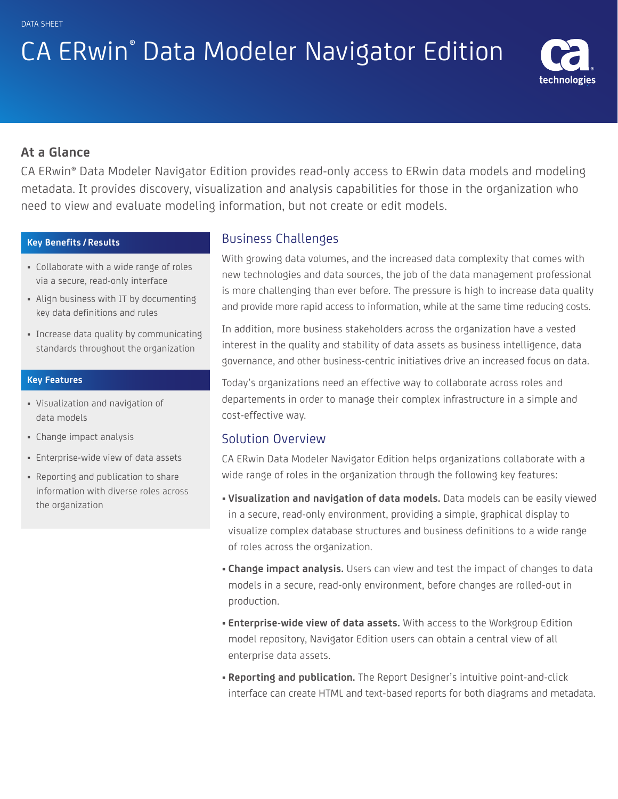# CA ERwin® Data Modeler Navigator Edition



## **At a Glance**

CA ERwin® Data Modeler Navigator Edition provides read-only access to ERwin data models and modeling metadata. It provides discovery, visualization and analysis capabilities for those in the organization who need to view and evaluate modeling information, but not create or edit models.

#### **Key Benefits / Results**

- Collaborate with a wide range of roles via a secure, read-only interface
- Align business with IT by documenting key data definitions and rules
- Increase data quality by communicating standards throughout the organization

#### **Key Features**

- Visualization and navigation of data models
- Change impact analysis
- Enterprise-wide view of data assets
- Reporting and publication to share information with diverse roles across the organization

# Business Challenges

With growing data volumes, and the increased data complexity that comes with new technologies and data sources, the job of the data management professional is more challenging than ever before. The pressure is high to increase data quality and provide more rapid access to information, while at the same time reducing costs.

In addition, more business stakeholders across the organization have a vested interest in the quality and stability of data assets as business intelligence, data governance, and other business-centric initiatives drive an increased focus on data.

Today's organizations need an effective way to collaborate across roles and departements in order to manage their complex infrastructure in a simple and cost-effective way.

#### Solution Overview

CA ERwin Data Modeler Navigator Edition helps organizations collaborate with a wide range of roles in the organization through the following key features:

- **Visualization and navigation of data models.** Data models can be easily viewed in a secure, read-only environment, providing a simple, graphical display to visualize complex database structures and business definitions to a wide range of roles across the organization.
- **Change impact analysis.** Users can view and test the impact of changes to data models in a secure, read-only environment, before changes are rolled-out in production.
- **Enterprise-wide view of data assets.** With access to the Workgroup Edition model repository, Navigator Edition users can obtain a central view of all enterprise data assets.
- **Reporting and publication.** The Report Designer's intuitive point-and-click interface can create HTML and text-based reports for both diagrams and metadata.